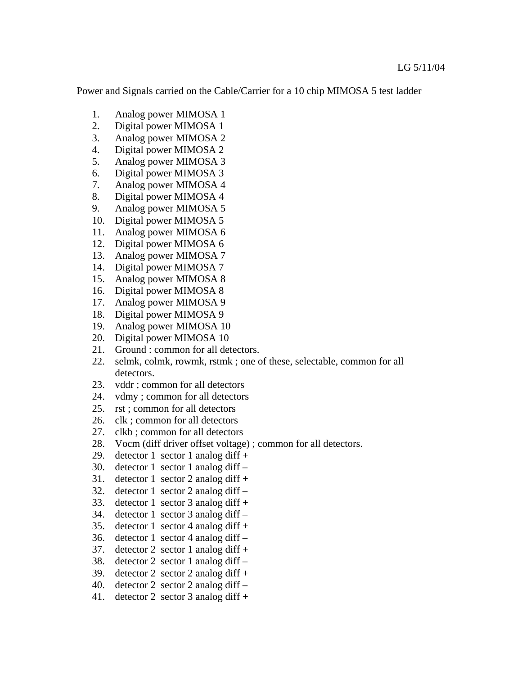Power and Signals carried on the Cable/Carrier for a 10 chip MIMOSA 5 test ladder

- 1. Analog power MIMOSA 1
- 2. Digital power MIMOSA 1
- 3. Analog power MIMOSA 2
- 4. Digital power MIMOSA 2
- 5. Analog power MIMOSA 3
- 6. Digital power MIMOSA 3
- 7. Analog power MIMOSA 4
- 8. Digital power MIMOSA 4
- 9. Analog power MIMOSA 5
- 10. Digital power MIMOSA 5
- 11. Analog power MIMOSA 6
- 12. Digital power MIMOSA 6
- 13. Analog power MIMOSA 7
- 14. Digital power MIMOSA 7
- 15. Analog power MIMOSA 8
- 16. Digital power MIMOSA 8
- 17. Analog power MIMOSA 9
- 18. Digital power MIMOSA 9
- 19. Analog power MIMOSA 10
- 20. Digital power MIMOSA 10
- 21. Ground : common for all detectors.
- 22. selmk, colmk, rowmk, rstmk ; one of these, selectable, common for all detectors.
- 23. vddr ; common for all detectors
- 24. vdmy ; common for all detectors
- 25. rst ; common for all detectors
- 26. clk ; common for all detectors
- 27. clkb ; common for all detectors
- 28. Vocm (diff driver offset voltage) ; common for all detectors.
- 29. detector 1 sector 1 analog diff +
- 30. detector 1 sector 1 analog diff –
- 31. detector 1 sector 2 analog diff  $+$
- 32. detector 1 sector 2 analog diff –
- 33. detector 1 sector 3 analog diff  $+$
- 34. detector 1 sector 3 analog diff –
- 35. detector 1 sector 4 analog diff  $+$
- 36. detector 1 sector 4 analog diff –
- 37. detector 2 sector 1 analog diff  $+$
- 38. detector 2 sector 1 analog diff –
- 39. detector 2 sector 2 analog diff  $+$
- 40. detector 2 sector 2 analog diff –
- 41. detector 2 sector 3 analog diff +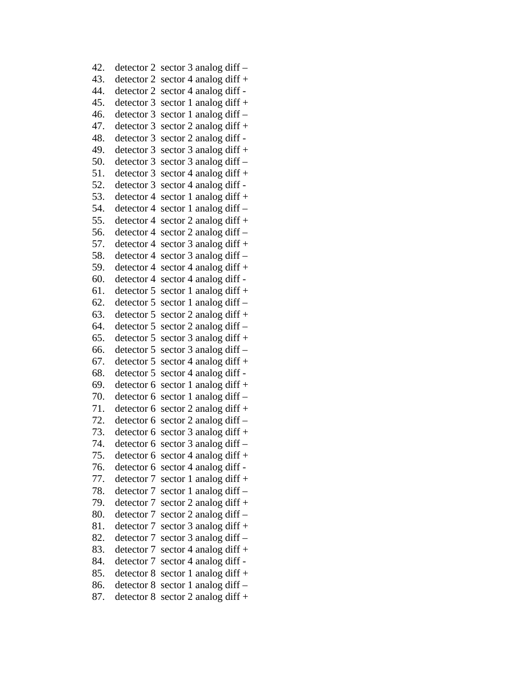| 42.        | detector 2 | sector 3 analog diff -   |
|------------|------------|--------------------------|
| 43.        | detector 2 | sector 4 analog diff +   |
| 44.        | detector 2 | sector 4 analog diff -   |
| 45.        | detector 3 | sector 1 analog diff $+$ |
| 46.        | detector 3 | sector 1 analog diff-    |
| 47.        | detector 3 | sector 2 analog diff +   |
| 48.        | detector 3 | sector 2 analog diff -   |
| 49.        | detector 3 | sector 3 analog diff $+$ |
| 50.        | detector 3 | sector 3 analog diff -   |
| 51.        | detector 3 | sector 4 analog diff +   |
| 52.        | detector 3 | sector 4 analog diff -   |
| 53.        | detector 4 | sector 1 analog diff +   |
| 54.        | detector 4 | sector 1 analog diff –   |
| 55.        | detector 4 | sector 2 analog diff $+$ |
| 56.        | detector 4 | sector 2 analog diff -   |
| 57.        | detector 4 | sector 3 analog diff +   |
| 58.        | detector 4 | sector 3 analog diff –   |
| 59.        | detector 4 | sector 4 analog diff +   |
| 60.        | detector 4 | sector 4 analog diff -   |
| 61.        | detector 5 | sector 1 analog diff +   |
| 62.        | detector 5 | sector 1 analog diff -   |
| 63.        | detector 5 | sector 2 analog diff +   |
| 64.        | detector 5 | sector 2 analog diff –   |
| 65.        | detector 5 | sector 3 analog diff +   |
| 66.        | detector 5 | sector 3 analog diff -   |
| 67.        | detector 5 | sector 4 analog diff +   |
| 68.        | detector 5 | sector 4 analog diff -   |
| 69.        | detector 6 | sector 1 analog diff +   |
| 70.        | detector 6 | sector 1 analog diff-    |
| 71.        | detector 6 | sector 2 analog diff $+$ |
| 72.        | detector 6 | sector 2 analog diff $-$ |
| 73.        | detector 6 | sector 3 analog diff +   |
| 74.        | detector 6 | sector 3 analog diff –   |
| 75.        | detector 6 | sector 4 analog diff +   |
| 76.        | detector 6 | sector 4 analog diff -   |
| 77.        | detector 7 | sector 1 analog diff $+$ |
| 78.        | detector 7 | sector 1 analog diff –   |
| 79.        | detector 7 | sector 2 analog diff +   |
| 80.        | detector 7 | sector 2 analog diff -   |
| 81.        | detector 7 | sector 3 analog diff +   |
| 82.        | detector 7 | sector 3 analog diff –   |
| 83.        | detector 7 | sector 4 analog diff +   |
| 84.        | detector 7 | sector 4 analog diff -   |
| 85.        | detector 8 | sector 1 analog diff $+$ |
| 86.<br>87. | detector 8 | sector 1 analog diff -   |
|            | detector 8 | sector 2 analog diff $+$ |